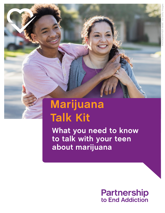# **Marijuana Talk Kit**

**What you need to know to talk with your teen about marijuana**

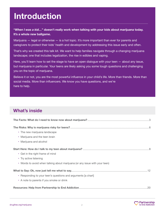## **INTRODUCTION Introduction**

#### **"***When I was a kid…***" doesn't really work when talking with your kids about marijuana today. It's a whole new ballgame.**

Marijuana  $-$  legal or otherwise  $-$  is a hot topic. It's more important than ever for parents and caregivers to protect their kids' health and development by addressing this issue early and often.

That's why we created this talk kit. We want to help families navigate through a changing marijuana landscape; one that includes legalization, the rise in edibles and vaping.

Here, you'll learn how to set the stage to have an open dialogue with your teen — about any issue, but marijuana in particular. Your teens are likely asking you some tough questions and challenging you on the topic of marijuana.

Believe it or not, you are the most powerful influence in your child's life. More than friends. More than social media. More than influencers. We know you have questions, and we're here to help.

#### **What's inside**

| • The new marijuana landscape                                               |
|-----------------------------------------------------------------------------|
| • Marijuana and the teen brain                                              |
| • Marijuana and alcohol                                                     |
|                                                                             |
| • Get in the right frame of mind                                            |
| • Try active listening                                                      |
| • Words to avoid when talking about marijuana (or any issue with your teen) |
|                                                                             |
| • Responding to your teen's questions and arguments [a chart]               |
| • A note to parents if you smoke or drink                                   |
|                                                                             |

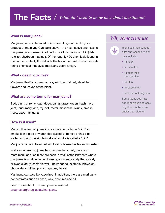### **The Facts** / *What do I need to know now about marijuana?*

#### **What is marijuana?**

Marijuana, one of the most often-used drugs in the U.S., is a product of the plant, Cannabis sativa. The main active chemical in marijuana, also present in other forms of cannabis, is THC (delta-9-tetrahydrocannabinol). Of the roughly 400 chemicals found in the cannabis plant, THC affects the brain the most. It is a mind-altering chemical that gives marijuana users a high.

#### **What does it look like?**

Marijuana itself is a green or gray mixture of dried, shredded flowers and leaves of the plant.

#### **What are some terms for marijuana?**

Bud, blunt, chronic, dab, dope, ganja, grass, green, hash, herb, joint, loud, mary jane, mj, pot, reefer, sinsemilla, skunk, smoke, trees, wax, marijuana

#### **How is it used?**

Many roll loose marijuana into a cigarette (called a "joint") or smoke it in a pipe or water pipe (called a "bong") or in a cigar (called a "blunt"). A single intake of smoke is called a "hit."

Marijuana can also be mixed into food or brewed as tea and ingested.

In states where marijuana has become legalized, more and more marijuana "edibles" are seen in retail establishments where marijuana is sold, including baked goods and candy that closely or even exactly resemble well-known foods (example: brownies, chocolate, cookies, pizza or gummy bears).

Marijuana can also be vaporized. In addition, there are marijuana concentrates such as hash, wax, tinctures and oil.

Learn more about how marijuana is used at [drugfree.org/drug-guide/marijuana.](https://drugfree.org/drugs/marijuana/)

#### *Why some teens use*



Teens use marijuana for different reasons, which may include:

- **•**  to relax
- **•** to have fun
- **•** to alter their perspective
- **•** to fit in
- **•** to experiment
- **•** to try something new

Some teens see it as not dangerous and easy to get — maybe even easier than alcohol.

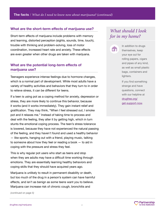#### **What are the short-term effects of marijuana use?**

Short-term effects of marijuana include problems with memory and learning, distorted perception (sights, sounds, time, touch), trouble with thinking and problem-solving, loss of motor coordination, increased heart rate and anxiety. These effects are even greater when other drugs are taken with marijuana.

#### **What are the potential long-term effects of marijuana use?**

Teenagers experience intense feelings due to hormone changes, which is a normal part of development. While most adults have a variety of healthy activities and behaviors that they turn to in order to relieve stress, it can be different for teens.

If a teen is using pot as a coping method for anxiety, depression or stress, they are more likely to continue this behavior, because it works (and it works immediately). They gain instant relief and gratification. They may think, "When I feel stressed out, I smoke pot and it relaxes me." Instead of taking time to process and deal with the feeling, they alter it by getting high, which in turn stunts the emotional coping process. The teen's stress tolerance is lowered, because they have not experienced the natural passing of the feeling, and they haven't found and used a healthy behavior — like sports, hanging out with a friend, playing music, talking to someone about how they feel or reading a book — to aid in coping with the pressure and stress they feel.

This is why regular pot users who start as teens and stop when they are adults may have a difficult time working through emotions. They are essentially learning healthy behaviors and coping skills that they should have acquired years ago.

Marijuana is unlikely to result in permanent disability or death, but too much of the drug in a person's system can have harmful effects, and isn't as benign as some teens want you to believe. Marijuana can increase risk of chronic cough, bronchitis and

*(continued on page 5)*

#### *What should I look for in my home?*



In addition to drugs themselves, keep your eye out for rolling papers, cigars and pipes of any kind, as well as small plastic bags, containers and lighters.

If you find something strange and have questions, connect with our helpline at [drugfree.org/](https://drugfree.org/get-support-now/) [get-support-now](https://drugfree.org/get-support-now/).

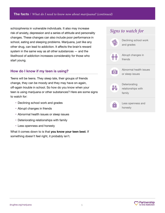**The facts** / *What do I need to know now about marijuana? (continued)*

schizophrenia in vulnerable individuals. It also may increase risk of anxiety, depression and a series of attitude and personality changes. These changes can also include poor performance in school, eating and sleeping problems. Marijuana, just like any other drug, can lead to addiction. It affects the brain's reward system in the same way as all other substances — and the likelihood of addiction increases considerably for those who start young.

#### **How do I know if my teen is using?**

Teens will be teens. They sleep late, their groups of friends change, they can be moody and they may have on-again, off-again trouble in school. So how do you know when your teen is using marijuana or other substances? Here are some signs to watch for:

- Declining school work and grades
- Abrupt changes in friends
- Abnormal health issues or sleep issues
- Deteriorating relationships with family
- Less openness and honesty

What it comes down to is that **you know your teen best**. If something doesn't feel right, it probably isn't.

| Signs to watch for                            |
|-----------------------------------------------|
| Declining school work<br>and grades           |
| Abrupt changes in<br>friends                  |
| Abnormal health issues<br>or sleep issues     |
| Deteriorating<br>relationships with<br>family |
| Less openness and<br>honesty                  |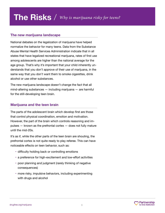#### **The new marijuana landscape**

National debates on the legalization of marijuana have helped normalize the behavior for many teens. Data from the Substance Abuse Mental Health Services Administration indicate that in all states that have legalized recreational marijuana, rates of first use among adolescents are higher than the national average for the age group. That's why it's important that your child inherently understands that you don't approve of their use of marijuana, in the same way that you don't want them to smoke cigarettes, drink alcohol or use other substances.

The new marijuana landscape doesn't change the fact that all mind-altering substances — including marijuana — are harmful for the still-developing teen brain.

#### **Marijuana and the teen brain**

The parts of the adolescent brain which develop first are those that control physical coordination, emotion and motivation. However, the part of the brain which controls reasoning and impulses — known as the prefrontal cortex — does not fully mature until the mid-20s.

It's as if, while the other parts of the teen brain are shouting, the prefrontal cortex is not quite ready to play referee. This can have noticeable effects on teen behavior, such as:

- difficulty holding back or controlling emotions
- a preference for high-excitement and low-effort activities
- poor planning and judgment (rarely thinking of negative consequences)
- more risky, impulsive behaviors, including experimenting with drugs and alcohol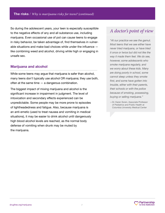So during the adolescent years, your teen is especially susceptible to the negative effects of any and all substance use, including marijuana. Even occasional use of pot can cause teens to engage in risky behavior, be taken advantage of, find themselves in vulnerable situations and make bad choices while under the influence like combining weed and alcohol, driving while high or engaging in unsafe sex.

#### **Marijuana and alcohol**

While some teens may argue that marijuana is safer than alcohol, many teens don't typically use alcohol OR marijuana; they use both, often at the same time — a dangerous combination.

The biggest impact of mixing marijuana and alcohol is the significant increase in impairment in judgment. The level of intoxication and secondary effects experienced can be unpredictable. Some people may be more prone to episodes of lightheadedness and fatigue. Also, because marijuana is an anti-emetic (used to treat nausea and vomiting in medical situations), it may be easier to drink alcohol until dangerously high blood alcohol levels are reached, as the normal body defense of vomiting when drunk may be muted by the marijuana.

#### *A doctor's point of view*

*"At our practice we see the gamut. Most teens that we see either have never tried marijuana, or have tried it once or twice but did not like the way it made them feel. We do see, however, some adolescents who smoke marijuana regularly, and we worry about these kids. Many are doing poorly in school, some cannot sleep unless they smoke first, and some have gotten into trouble, either with their parents, their schools or with the police because of smoking, possessing, buying or selling marijuana."*

—Dr. Karen Soren, Associate Professor of Pediatrics and Public Health at Columbia University Medical Center

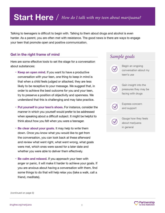### **Start Here** / *How do I talk with my teen about marijuana?*

Talking to teenagers is difficult to begin with. Talking to them about drugs and alcohol is even harder. As a parent, you are often met with resistance. The good news is there are ways to engage your teen that promote open and positive communication.

#### **Get in the right frame of mind**

Here are some effective tools to set the stage for a conversation about substances:

- **Keep an open mind.** If you want to have a productive conversation with your teen, one thing to keep in mind is that when a child feels judged or attacked, they are less likely to be receptive to your message. We suggest that, in order to achieve the best outcome for you and your teen, try to preserve a position of objectivity and openness. We understand that this is challenging and may take practice.
- **Put yourself in your teen's shoes.** For instance, consider the manner in which you yourself would prefer to be addressed when speaking about a difficult subject. It might be helpful to think about how you felt when you were a teenager.
- **Be clear about your goals.** It may help to write them down. Once you know what you would like to get from the conversation, you can look back at these afterward and review what went right, what went wrong, what goals were met, which ones were saved for a later date and whether you were able to deliver them effectively.
- **Be calm and relaxed.** If you approach your teen with anger or panic, it will make it harder to achieve your goals. If you are anxious about having a conversation with them, find some things to do that will help relax you (take a walk, call a friend, meditate).



*(continued on page 9)*

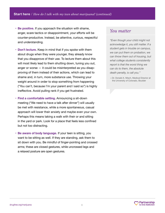- **Be positive.** If you approach the situation with shame, anger, scare tactics or disappointment, your efforts will be counter-productive. Instead, be attentive, curious, respectful and understanding.
- **Don't lecture.** Keep in mind that if you spoke with them about drugs when they were younger, they already know that you disapprove of their use. To lecture them about this will most likely lead to them shutting down, tuning you out, anger or worse — it could be misinterpreted as you disapproving of them instead of their actions, which can lead to shame and, in turn, more substance use. Throwing your weight around in order to stop something from happening ("You can't, because I'm your parent and I said so") is highly ineffective. Avoid pulling rank if you get frustrated.
- **Find a comfortable setting.** Announcing a sit-down meeting ("We need to have a talk after dinner") will usually be met with resistance, while a more spontaneous, casual approach will lower their anxiety and maybe even your own. Perhaps this means taking a walk with their or and sitting in the yard or park. Look for a place that feels less confined but not too distracting.
- **Be aware of body language.** If your teen is sitting, you want to be sitting as well. If they are standing, ask them to sit down with you. Be mindful of finger-pointing and crossed arms; these are closed gestures, while uncrossed legs and a relaxed posture are open gestures.

#### *You matter*

*"Even though your child might not acknowledge it, you still matter. If a student gets in trouble on campus, we can put them on probation, we can throw them out of housing, but what college students consistently report is that the worst thing we can do to them, the absolute death penalty, is call you."*

—Dr. Donald A. Misch, Medical Director at the University of Colorado, Boulder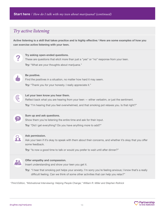### *Try active listening*

**Active listening is a skill that takes practice and is highly effective.<sup>v</sup> Here are some examples of how you can exercise active listening with your teen.**



*v Third Edition, "Motivational Interviewing: Helping People Change," William R. Miller and Stephen Rollnick*

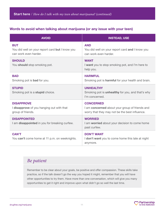#### **Words to avoid when talking about marijuana (or any issue with your teen)**

| <b>AVOID</b>                                                                           | <b>INSTEAD, USE</b>                                                                                                  |
|----------------------------------------------------------------------------------------|----------------------------------------------------------------------------------------------------------------------|
| <b>BUT</b><br>You did well on your report card but I know you<br>can work even harder. | <b>AND</b><br>You did well on your report card and I know you<br>can work even harder.                               |
| <b>SHOULD</b><br>You should stop smoking pot.                                          | <b>WANT</b><br>I want you to stop smoking pot, and I'm here to<br>help you.                                          |
| <b>BAD</b><br>Smoking pot is <b>bad</b> for you.                                       | <b>HARMFUL</b><br>Smoking pot is <b>harmful</b> for your health and brain.                                           |
| <b>STUPID</b><br>Smoking pot is a <b>stupid</b> choice.                                | <b>UNHEALTHY</b><br>Smoking pot is <b>unhealthy</b> for you, and that's why<br>I'm concerned.                        |
| <b>DISAPPROVE</b><br>I disapprove of you hanging out with that<br>group of friends.    | <b>CONCERNED</b><br>I am concerned about your group of friends and<br>worry that they may not be the best influence. |
| <b>DISAPPOINTED</b><br>I am disappointed in you for breaking curfew.                   | <b>WORRIED</b><br>I am worried about your decision to come home<br>past curfew.                                      |
| <b>CAN'T</b><br>You can't come home at 11 p.m. on weeknights.                          | <b>DON'T WANT</b><br>I don't want you to come home this late at night<br>anymore.                                    |

#### *Be patient*

Remember to be clear about your goals, be positive and offer compassion. These skills take practice, so if the talk doesn't go the way you hoped it might, remember that you will have other opportunities to try them. Have more than one conversation, which will give you many opportunities to get it right and improve upon what didn't go so well the last time.

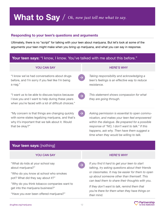**What to Say** / *Ok, now just tell me what to say.* 

#### **Responding to your teen's questions and arguments**

Ultimately, there is no "script" for talking with your teen about marijuana. But let's look at some of the arguments your teen might make when you bring up marijuana, and what you can say in response.

#### **Your teen says:** "I know, I know. You've talked with me about this before."

| <b>YOU CAN SAY</b>                                                                                                                                                        |               | <b>HERE'S WHY</b>                                                                                                                                                                                                                                 |
|---------------------------------------------------------------------------------------------------------------------------------------------------------------------------|---------------|---------------------------------------------------------------------------------------------------------------------------------------------------------------------------------------------------------------------------------------------------|
| "I know we've had conversations about drugs<br>before, and I'm sorry if you feel like I'm being<br>a nag."                                                                | $\rightarrow$ | Taking responsibility and acknowledging a<br>teen's feelings is an effective way to reduce<br>resistance.                                                                                                                                         |
| "I want us to be able to discuss topics because<br>I love you and I want to help during these years<br>when you're faced with a lot of difficult choices."                | $\rightarrow$ | This statement shows compassion for what<br>they are going through.                                                                                                                                                                               |
| "My concern is that things are changing quickly<br>with some states legalizing marijuana, and that's<br>why it's important that we talk about it. Would<br>that be okay?" |               | Asking permission is essential to open commu-<br>nication, and makes your teen feel empowered<br>within the dialogue. Be prepared for a possible<br>response of "NO, I don't want to talk." If this<br>happens, ask why. Then have them suggest a |

#### Your teen says: [nothing]

#### YOU CAN SAY HERE'S WHY

"What do kids at your school say about marijuana?"

"Who do you know at school who smokes pot? What did they say about it?"

"Why do you think tobacco companies want to get into the marijuana business?"

"Have you ever been offered marijuana?"

*time when they would be willing to talk.*

*If you find it hard to get your teen to start talking, try asking questions about their friends or classmates. It may be easier for them to open up about someone other than themself. This can lead them to share their thoughts with you.*

*If they don't want to talk, remind them that you're there for them when they have things on their mind.*

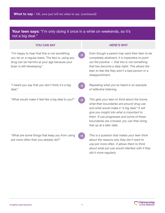#### Your teen says: "I'm only doing it once in a while on weekends, so it's not a big deal."

| <b>YOU CAN SAY</b>                                                                                                                                                                | <b>HERE'S WHY</b>                                                                                                                                                                                                                                                                                                |
|-----------------------------------------------------------------------------------------------------------------------------------------------------------------------------------|------------------------------------------------------------------------------------------------------------------------------------------------------------------------------------------------------------------------------------------------------------------------------------------------------------------|
| "I'm happy to hear that this is not something<br>you do on a regular basis. The fact is, using any<br>drug can be harmful at your age because your<br>brain is still developing." | Even though a parent may want their teen to be<br>completely abstinent, it is imperative to point<br>out the positive - that this is not something<br>that has become a daily habit. This allows the<br>teen to feel like they aren't a bad person or a<br>disappointment.                                       |
| "I heard you say that you don't think it's a big<br>deal."                                                                                                                        | Repeating what you've heard is an example<br>of reflective listening.                                                                                                                                                                                                                                            |
| "What would make it feel like a big deal to you?"                                                                                                                                 | This gets your teen to think about the future,<br>what their boundaries are around drug use<br>and what would make it "a big deal." It will<br>give you insight into what is important to<br>them. If use progresses and some of these<br>boundaries are crossed, you can then bring<br>that up at a later date. |
| "What are some things that keep you from using<br>pot more often than you already do?"                                                                                            | This is a question that makes your teen think<br>about the reasons why they don't want to<br>use pot more often. It allows them to think<br>about what pot use would interfere with if they<br>did it more regularly.                                                                                            |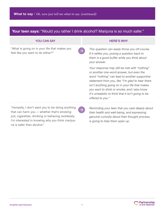#### Your teen says: "Would you rather I drink alcohol? Marijuna is so much safer."

| <b>YOU CAN SAY</b>                                                                             | <b>HERE'S WHY</b>                                                                                                                                                                                                                                                                                                                                                           |
|------------------------------------------------------------------------------------------------|-----------------------------------------------------------------------------------------------------------------------------------------------------------------------------------------------------------------------------------------------------------------------------------------------------------------------------------------------------------------------------|
| "What is going on in your life that makes you<br>feel like you want to do either?"             | This question can easily throw you off course.<br>If it rattles you, posing a question back to<br>them is a good buffer while you think about<br>your answer.                                                                                                                                                                                                               |
|                                                                                                | Your response may still be met with "nothing"<br>or another one-word answer, but even the<br>word "nothing" can lead to another supportive<br>statement from you, like "I'm glad to hear there<br>isn't anything going on in your life that makes<br>you want to drink or smoke, and I also know<br>it's unrealistic to think that it isn't going to be<br>offered to you." |
| "Honestly, I don't want you to be doing anything<br>that can harm you - whether that's smoking | Reminding your teen that you care deeply about<br>$\rightarrow$<br>their health and well-being, and expressing                                                                                                                                                                                                                                                              |

that can harm you — whether that's smoking pot, cigarettes, drinking or behaving recklessly. I'm interested in knowing why you think marijuana is safer than alcohol."

*their health and well-being, and expressing genuine curiosity about their thought process, is going to help them open up.*

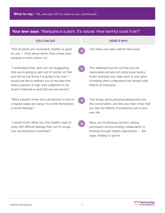| <b>Your teen says:</b> "Marijuana is a plant. It's natural. How harmful could it be?"                                                                                                                                                                                                                      |                                                                                                                                                                                                                |  |
|------------------------------------------------------------------------------------------------------------------------------------------------------------------------------------------------------------------------------------------------------------------------------------------------------------|----------------------------------------------------------------------------------------------------------------------------------------------------------------------------------------------------------------|--|
| <b>YOU CAN SAY</b>                                                                                                                                                                                                                                                                                         | <b>HERE'S WHY</b>                                                                                                                                                                                              |  |
| "Not all plants are necessarily healthy or good<br>for you - think about heroin that comes from<br>poppies or even poison ivy."                                                                                                                                                                            | This helps your teen rethink their point.<br>$\rightarrow$                                                                                                                                                     |  |
| "I understand that, and I am not suggesting<br>that you're going to spin out of control, or that<br>your life as you know it is going to be over. I<br>would just like to redirect you to the idea that<br>when a person is high, their judgment is not<br>what it ordinarily is and that can be harmful." | This statement points out that you are<br>reasonable and are not using scare tactics.<br>It also redirects your teen back to your goal<br>of helping them understand the harmful side<br>effects of marijuana. |  |
| "Many people I know who use alcohol or pot on<br>a regular basis are using it to numb themselves<br>or avoid feelings."                                                                                                                                                                                    | This brings some personal perspective into<br>the conversation, and lets your teen know that<br>you see the effects of substance use in your<br>own life.                                                      |  |
| "I would much rather you find healthy ways to<br>cope with difficult feelings than turn to drugs.<br>Can we brainstorm activities?"                                                                                                                                                                        | Here, you're showing concern, asking<br>permission and promoting collaboration in<br>thinking through healthy alternatives - like<br>yoga, reading or sports.                                                  |  |

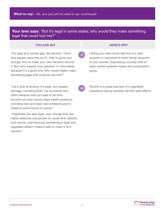#### **Your teen says:** "But it's legal in some states; why would they make something legal that could hurt me?"

#### **YOU CAN SAY AND READ ASSESSMENT OF A SAMPLE SAY AND READ ASSESSMENT OF A SAMPLE SAY AND READ ASSESSMENT OF A SAMPLE SAY AND READ FOR A SAMPLE SAY AND READ FOR A SAMPLE SAY AND READ FOR A SAMPLE SAY AND READ FOR A SAMPLE S**

"It's legal at a certain age, like alcohol. I think that people hope that by 21, they've given you enough time to make your own decision around it. But, let's explore your question in more detail, because it's a good one. Why would states make something legal that could be harmful?"

"Let's look at alcohol; it's legal, but causes damage, including DUIs, car accidents and other behavior that can lead to jail time. Alcohol can also cause major health problems, including liver and heart and problems and is linked to some forms of cancer."

"Cigarettes are also legal, even though they are highly addictive and proven to cause birth defects and cancer. Just because something is legal and regulated doesn't make it safe or mean it isn't harmful."

*Letting your teen know that this is a valid question is important to them being receptive to your answer. Expressing curiosity with an open-ended question keeps the conversation going.* 

*Alcohol is a great example of a regulated substance having severely harmful side effects.*

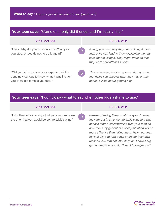| <b>Your teen says:</b> "Come on. I only did it once, and I'm totally fine."                                                                        |                                                                                                                                                                                        |  |
|----------------------------------------------------------------------------------------------------------------------------------------------------|----------------------------------------------------------------------------------------------------------------------------------------------------------------------------------------|--|
| <b>YOU CAN SAY</b>                                                                                                                                 | <b>HERE'S WHY</b>                                                                                                                                                                      |  |
| "Okay. Why did you do it only once? Why did<br>you stop, or decide not to do it again?"                                                            | Asking your teen why they aren't doing it more<br>than once can lead to them explaining the rea-<br>sons for not liking it. They might mention that<br>they were only offered it once. |  |
| "Will you tell me about your experience? I'm<br>$\rightarrow$<br>genuinely curious to know what it was like for<br>you. How did it make you feel?" | This is an example of an open-ended question<br>that helps you uncover what they may or may<br>not have liked about getting high.                                                      |  |

#### Your teen says: "I don't know what to say when other kids ask me to use."

 $\rightarrow$ 

#### **YOU CAN SAY A REALLY AND REALLY CONTROLLER WHY**

"Let's think of some ways that you can turn down the offer that you would be comfortable saying."

*Instead of telling them what to say or do when they are put in an uncomfortable situation, why not ask them? Brainstorming with your teen on how they may get out of a sticky situation will be more effective than telling them. Help your teen think of ways to turn down offers for their own reasons, like "I'm not into that," or "I have a big game tomorrow and don't want to be groggy."*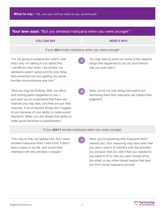| Your teen says: "But you smoked marijuana when you were younger."                                                                                                                                                                                                                                                                                                              |                                                                                                                                                                                                                                                                                                                 |  |
|--------------------------------------------------------------------------------------------------------------------------------------------------------------------------------------------------------------------------------------------------------------------------------------------------------------------------------------------------------------------------------|-----------------------------------------------------------------------------------------------------------------------------------------------------------------------------------------------------------------------------------------------------------------------------------------------------------------|--|
| <b>YOU CAN SAY</b>                                                                                                                                                                                                                                                                                                                                                             | <b>HERE'S WHY</b>                                                                                                                                                                                                                                                                                               |  |
| If you did smoke marijuana when you were younger                                                                                                                                                                                                                                                                                                                               |                                                                                                                                                                                                                                                                                                                 |  |
| "I'm not going to pretend like I didn't, and<br>that's why I'm talking to you about this.<br>I will tell you that when I did smoke, my<br>decisions weren't great and the only thing<br>that prevented me from getting into some<br>horrible circumstances was luck."                                                                                                          | You may want to point out some of the negative<br>things that happened to you (or your) friends<br>that you wish didn't.                                                                                                                                                                                        |  |
| "And you may be thinking: Well, you did it,<br>and nothing awful happened to you. I<br>just want you to understand that these are<br>chances you may take, and they are just that,<br>chances. A lot of harmful things don't happen<br>to you because of your ability to make sound<br>decisions. When you are stoned that ability to<br>make good decisions is questionable." | Here, you're not only being informative but<br>reminding them that marijuana can impact their<br>judgment.                                                                                                                                                                                                      |  |
| If you didn't smoke marijuana when you were younger                                                                                                                                                                                                                                                                                                                            |                                                                                                                                                                                                                                                                                                                 |  |
| "You may or may not believe this, but I never<br>smoked marijuana when I was a kid. It didn't<br>have a place in my life, and would have<br>interfered with the activities I enjoyed."                                                                                                                                                                                         | Here, you're explaining why marijuana didn't<br>interest you. Your reasoning may have been that<br>you didn't want it to interfere with the activities<br>you enjoyed; that you didn't feel you needed to<br>use weed to fit in; that you were turned off by<br>the smell; or any other honest reason that kept |  |



*you from trying marijuana yourself.*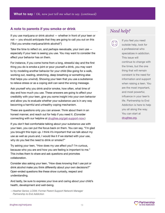#### **A note to parents if you smoke or drink**

If you use marijuana or drink alcohol — whether in front of your teen or not — you should anticipate that they are going to call you out on this ("But you smoke marijuana/drink alcohol!")

Take the time to reflect on, and perhaps reevaluate, your own use  $$ especially if your teen is seeing you use. You may want to consider the effect your behavior has on them.

For instance, if you come home from a long, stressful day and the first thing you do is smoke a joint or pour yourself a drink, you may want to try modeling another behavior for your child (like going for a walk, working out, reading, stretching, deep breathing or something else that helps you unwind). Showing your teen that you use a substance to relieve stress or as a coping skill can send the wrong message.

Ask yourself why you drink and/or smoke, how often, what time of day and how much you use. These answers are going to affect your credibility with your teen, give you some insight into your own behavior and allow you to evaluate whether your substance use is in any way becoming a harmful and unhealthy coping mechanism.

These are questions only you can answer. Think about them in an honest manner, and reach out for help if you need it. (Consider connecting with our helpline at [drugfree.org/get-support-now.](http://drugfree.org/get-support-now/))

If you don't feel comfortable talking about your substance use with your teen, you can put the focus back on them. You can say, "I'm glad you brought this topic up. I think it's important that we talk about my use as well as yours and, I would like it if we started with your use, why do you feel the need to drink or smoke?"

Try asking your teen, "How does my use affect you? I'm curious, because who you are and how you are feeling is important to me." This invites them to share and ask questions and promotes collaboration.

Consider also asking your teen, "How does knowing that I use pot or drink alcohol make you think differently about your own decisions?" Open-ended questions like these show curiosity, respect and understanding.

And lastly, be sure to express your love and caring about your child's health, development and well-being.

*—Heather Senior, LCSW, Former Parent Support Network Manager Partnership to End Addiction*

### *Need help?*



If you feel you need outside help, look for a professional who specializes in addiction. This issue will continue to change with the times, but the one thing that will remain constant is the need for information and support when raising a teen. You are the most important, and most powerful, influence in your teen's life. Partnership to End Addiction is here to help you all along the way. You can start at [drugfree.org](https://drugfree.org).